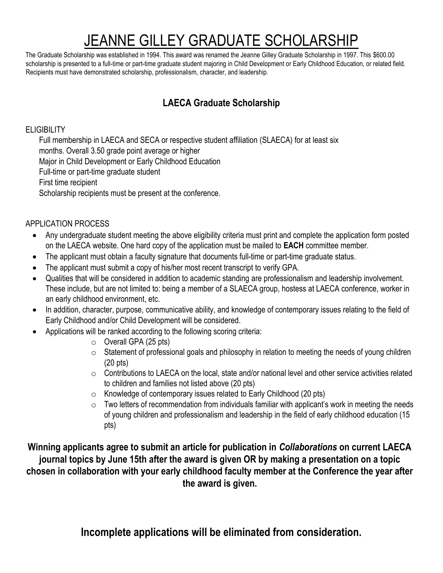# JEANNE GILLEY GRADUATE SCHOLARSHIP

The Graduate Scholarship was established in 1994. This award was renamed the Jeanne Gilley Graduate Scholarship in 1997. This \$600.00 scholarship is presented to a full-time or part-time graduate student majoring in Child Development or Early Childhood Education, or related field. Recipients must have demonstrated scholarship, professionalism, character, and leadership.

### **LAECA Graduate Scholarship**

### **ELIGIBILITY**

Full membership in LAECA and SECA or respective student affiliation (SLAECA) for at least six months. Overall 3.50 grade point average or higher Major in Child Development or Early Childhood Education Full-time or part-time graduate student First time recipient Scholarship recipients must be present at the conference.

### APPLICATION PROCESS

- Any undergraduate student meeting the above eligibility criteria must print and complete the application form posted on the LAECA website. One hard copy of the application must be mailed to **EACH** committee member.
- The applicant must obtain a faculty signature that documents full-time or part-time graduate status.
- The applicant must submit a copy of his/her most recent transcript to verify GPA.
- Qualities that will be considered in addition to academic standing are professionalism and leadership involvement. These include, but are not limited to: being a member of a SLAECA group, hostess at LAECA conference, worker in an early childhood environment, etc.
- In addition, character, purpose, communicative ability, and knowledge of contemporary issues relating to the field of Early Childhood and/or Child Development will be considered.
- Applications will be ranked according to the following scoring criteria:
	- $\circ$  Overall GPA (25 pts)
	- $\circ$  Statement of professional goals and philosophy in relation to meeting the needs of young children (20 pts)
	- $\circ$  Contributions to LAECA on the local, state and/or national level and other service activities related to children and families not listed above (20 pts)
	- o Knowledge of contemporary issues related to Early Childhood (20 pts)
	- $\circ$  Two letters of recommendation from individuals familiar with applicant's work in meeting the needs of young children and professionalism and leadership in the field of early childhood education (15 pts)

**Winning applicants agree to submit an article for publication in** *Collaborations* **on current LAECA journal topics by June 15th after the award is given OR by making a presentation on a topic chosen in collaboration with your early childhood faculty member at the Conference the year after the award is given.** 

**Incomplete applications will be eliminated from consideration.**